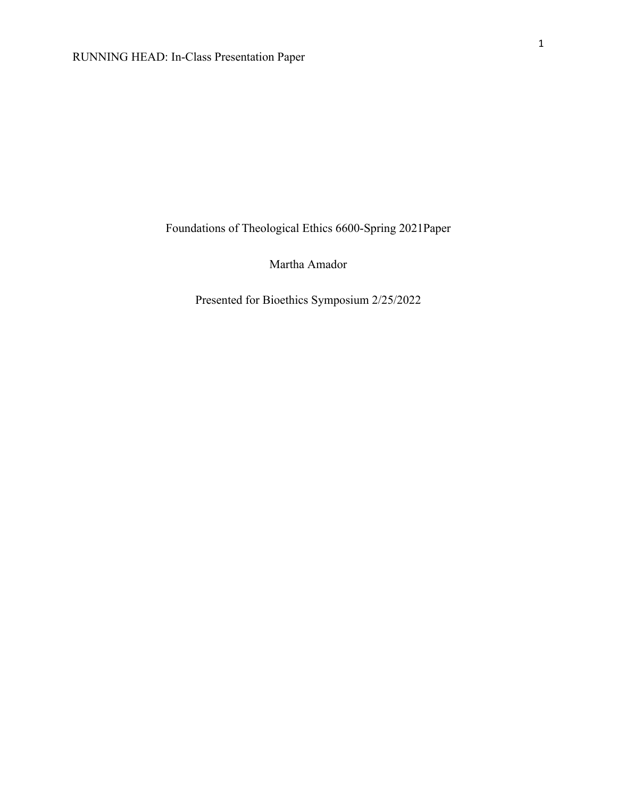Foundations of Theological Ethics 6600-Spring 2021Paper

Martha Amador

Presented for Bioethics Symposium 2/25/2022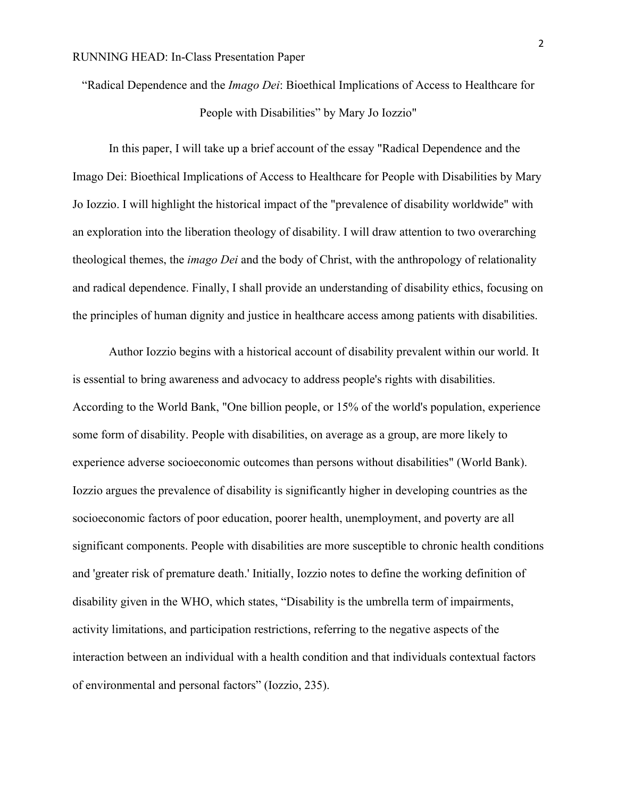"Radical Dependence and the *Imago Dei*: Bioethical Implications of Access to Healthcare for People with Disabilities" by Mary Jo Iozzio"

In this paper, I will take up a brief account of the essay "Radical Dependence and the Imago Dei: Bioethical Implications of Access to Healthcare for People with Disabilities by Mary Jo Iozzio. I will highlight the historical impact of the "prevalence of disability worldwide" with an exploration into the liberation theology of disability. I will draw attention to two overarching theological themes, the *imago Dei* and the body of Christ, with the anthropology of relationality and radical dependence. Finally, I shall provide an understanding of disability ethics, focusing on the principles of human dignity and justice in healthcare access among patients with disabilities.

Author Iozzio begins with a historical account of disability prevalent within our world. It is essential to bring awareness and advocacy to address people's rights with disabilities. According to the World Bank, "One billion people, or 15% of the world's population, experience some form of disability. People with disabilities, on average as a group, are more likely to experience adverse socioeconomic outcomes than persons without disabilities" (World Bank). Iozzio argues the prevalence of disability is significantly higher in developing countries as the socioeconomic factors of poor education, poorer health, unemployment, and poverty are all significant components. People with disabilities are more susceptible to chronic health conditions and 'greater risk of premature death.' Initially, Iozzio notes to define the working definition of disability given in the WHO, which states, "Disability is the umbrella term of impairments, activity limitations, and participation restrictions, referring to the negative aspects of the interaction between an individual with a health condition and that individuals contextual factors of environmental and personal factors" (Iozzio, 235).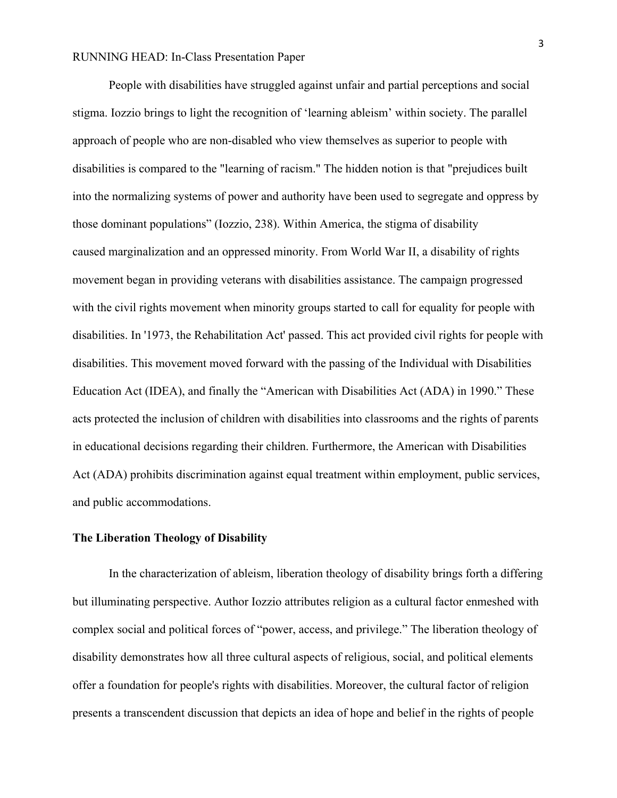People with disabilities have struggled against unfair and partial perceptions and social stigma. Iozzio brings to light the recognition of 'learning ableism' within society. The parallel approach of people who are non-disabled who view themselves as superior to people with disabilities is compared to the "learning of racism." The hidden notion is that "prejudices built into the normalizing systems of power and authority have been used to segregate and oppress by those dominant populations" (Iozzio, 238). Within America, the stigma of disability caused marginalization and an oppressed minority. From World War II, a disability of rights movement began in providing veterans with disabilities assistance. The campaign progressed with the civil rights movement when minority groups started to call for equality for people with disabilities. In '1973, the Rehabilitation Act' passed. This act provided civil rights for people with disabilities. This movement moved forward with the passing of the Individual with Disabilities Education Act (IDEA), and finally the "American with Disabilities Act (ADA) in 1990." These acts protected the inclusion of children with disabilities into classrooms and the rights of parents in educational decisions regarding their children. Furthermore, the American with Disabilities Act (ADA) prohibits discrimination against equal treatment within employment, public services, and public accommodations.

## **The Liberation Theology of Disability**

In the characterization of ableism, liberation theology of disability brings forth a differing but illuminating perspective. Author Iozzio attributes religion as a cultural factor enmeshed with complex social and political forces of "power, access, and privilege." The liberation theology of disability demonstrates how all three cultural aspects of religious, social, and political elements offer a foundation for people's rights with disabilities. Moreover, the cultural factor of religion presents a transcendent discussion that depicts an idea of hope and belief in the rights of people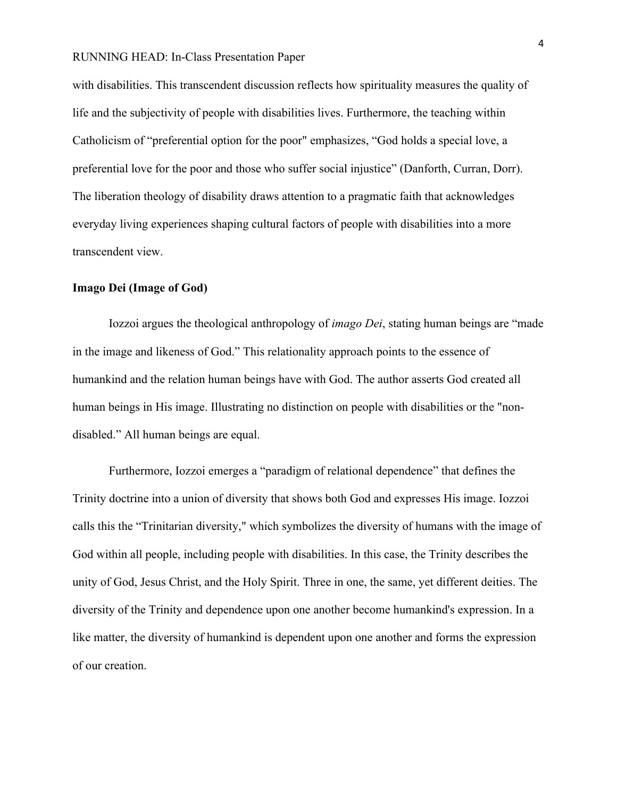with disabilities. This transcendent discussion reflects how spirituality measures the quality of life and the subjectivity of people with disabilities lives. Furthermore, the teaching within Catholicism of "preferential option for the poor" emphasizes, "God holds a special love, a preferential love for the poor and those who suffer social injustice" (Danforth, Curran, Dorr). The liberation theology of disability draws attention to a pragmatic faith that acknowledges everyday living experiences shaping cultural factors of people with disabilities into a more transcendent view.

### **Imago Dei (Image of God)**

Iozzoi argues the theological anthropology of *imago Dei*, stating human beings are "made in the image and likeness of God." This relationality approach points to the essence of humankind and the relation human beings have with God. The author asserts God created all human beings in His image. Illustrating no distinction on people with disabilities or the "nondisabled." All human beings are equal.

Furthermore, Iozzoi emerges a "paradigm of relational dependence" that defines the Trinity doctrine into a union of diversity that shows both God and expresses His image. Iozzoi calls this the "Trinitarian diversity," which symbolizes the diversity of humans with the image of God within all people, including people with disabilities. In this case, the Trinity describes the unity of God, Jesus Christ, and the Holy Spirit. Three in one, the same, yet different deities. The diversity of the Trinity and dependence upon one another become humankind's expression. In a like matter, the diversity of humankind is dependent upon one another and forms the expression of our creation.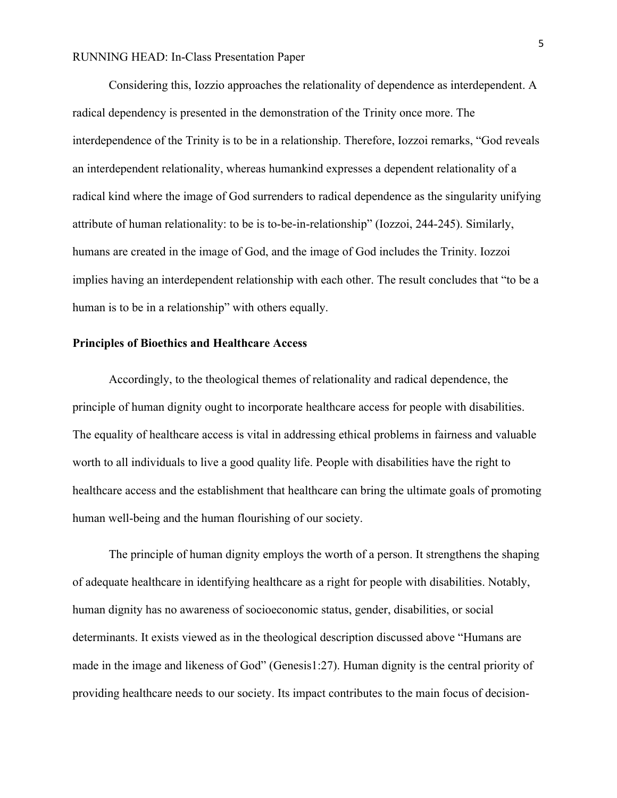Considering this, Iozzio approaches the relationality of dependence as interdependent. A radical dependency is presented in the demonstration of the Trinity once more. The interdependence of the Trinity is to be in a relationship. Therefore, Iozzoi remarks, "God reveals an interdependent relationality, whereas humankind expresses a dependent relationality of a radical kind where the image of God surrenders to radical dependence as the singularity unifying attribute of human relationality: to be is to-be-in-relationship" (Iozzoi, 244-245). Similarly, humans are created in the image of God, and the image of God includes the Trinity. Iozzoi implies having an interdependent relationship with each other. The result concludes that "to be a human is to be in a relationship" with others equally.

## **Principles of Bioethics and Healthcare Access**

Accordingly, to the theological themes of relationality and radical dependence, the principle of human dignity ought to incorporate healthcare access for people with disabilities. The equality of healthcare access is vital in addressing ethical problems in fairness and valuable worth to all individuals to live a good quality life. People with disabilities have the right to healthcare access and the establishment that healthcare can bring the ultimate goals of promoting human well-being and the human flourishing of our society.

The principle of human dignity employs the worth of a person. It strengthens the shaping of adequate healthcare in identifying healthcare as a right for people with disabilities. Notably, human dignity has no awareness of socioeconomic status, gender, disabilities, or social determinants. It exists viewed as in the theological description discussed above "Humans are made in the image and likeness of God" (Genesis1:27). Human dignity is the central priority of providing healthcare needs to our society. Its impact contributes to the main focus of decision-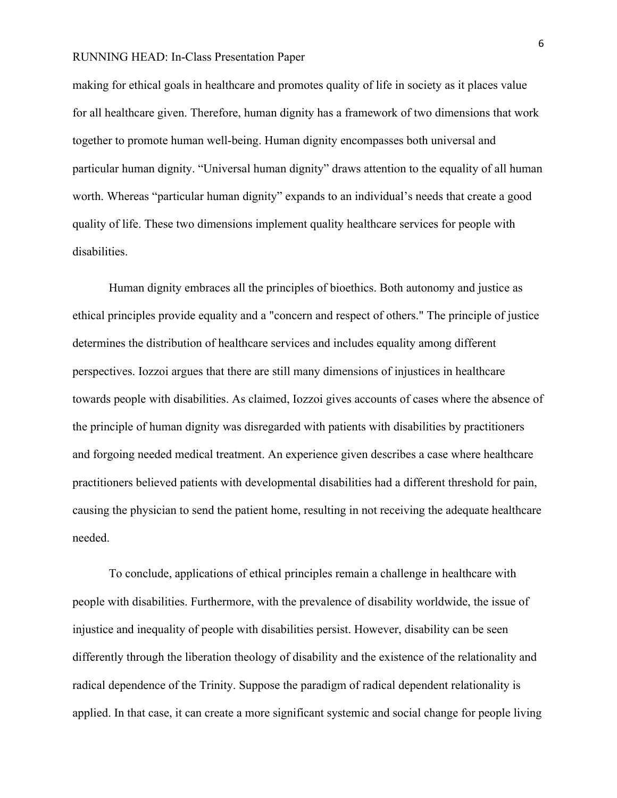making for ethical goals in healthcare and promotes quality of life in society as it places value for all healthcare given. Therefore, human dignity has a framework of two dimensions that work together to promote human well-being. Human dignity encompasses both universal and particular human dignity. "Universal human dignity" draws attention to the equality of all human worth. Whereas "particular human dignity" expands to an individual's needs that create a good quality of life. These two dimensions implement quality healthcare services for people with disabilities.

Human dignity embraces all the principles of bioethics. Both autonomy and justice as ethical principles provide equality and a "concern and respect of others." The principle of justice determines the distribution of healthcare services and includes equality among different perspectives. Iozzoi argues that there are still many dimensions of injustices in healthcare towards people with disabilities. As claimed, Iozzoi gives accounts of cases where the absence of the principle of human dignity was disregarded with patients with disabilities by practitioners and forgoing needed medical treatment. An experience given describes a case where healthcare practitioners believed patients with developmental disabilities had a different threshold for pain, causing the physician to send the patient home, resulting in not receiving the adequate healthcare needed.

To conclude, applications of ethical principles remain a challenge in healthcare with people with disabilities. Furthermore, with the prevalence of disability worldwide, the issue of injustice and inequality of people with disabilities persist. However, disability can be seen differently through the liberation theology of disability and the existence of the relationality and radical dependence of the Trinity. Suppose the paradigm of radical dependent relationality is applied. In that case, it can create a more significant systemic and social change for people living